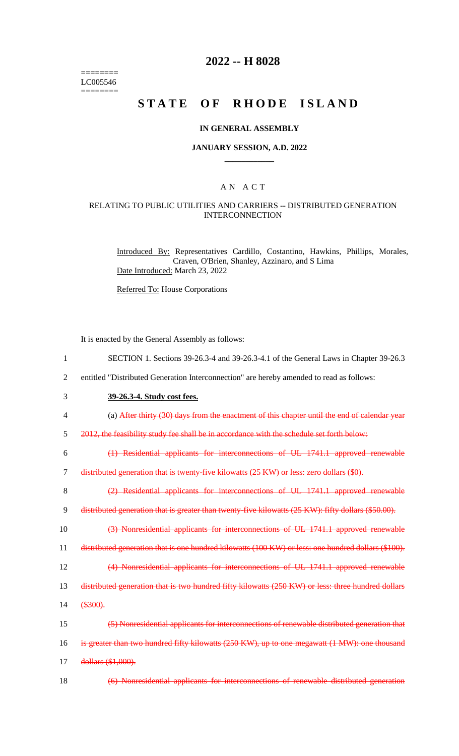======== LC005546  $=$ 

# **2022 -- H 8028**

# **STATE OF RHODE ISLAND**

#### **IN GENERAL ASSEMBLY**

#### **JANUARY SESSION, A.D. 2022 \_\_\_\_\_\_\_\_\_\_\_\_**

#### A N A C T

### RELATING TO PUBLIC UTILITIES AND CARRIERS -- DISTRIBUTED GENERATION INTERCONNECTION

Introduced By: Representatives Cardillo, Costantino, Hawkins, Phillips, Morales, Craven, O'Brien, Shanley, Azzinaro, and S Lima Date Introduced: March 23, 2022

Referred To: House Corporations

It is enacted by the General Assembly as follows:

| $\mathbf{1}$   | SECTION 1. Sections 39-26.3-4 and 39-26.3-4.1 of the General Laws in Chapter 39-26.3                |
|----------------|-----------------------------------------------------------------------------------------------------|
| $\overline{2}$ | entitled "Distributed Generation Interconnection" are hereby amended to read as follows:            |
| 3              | 39-26.3-4. Study cost fees.                                                                         |
| $\overline{4}$ | (a) After thirty (30) days from the enactment of this chapter until the end of calendar year        |
| 5              | 2012, the feasibility study fee shall be in accordance with the schedule set forth below:           |
| 6              | (1) Residential applicants for interconnections of UL 1741.1 approved renewable                     |
| $\overline{7}$ | distributed generation that is twenty-five kilowatts (25 KW) or less: zero dollars (\$0).           |
| 8              | (2) Residential applicants for interconnections of UL 1741.1 approved renewable                     |
| 9              | distributed generation that is greater than twenty five kilowatts (25 KW): fifty dollars (\$50.00). |
| 10             | (3) Nonresidential applicants for interconnections of UL 1741.1 approved renewable                  |
| 11             | distributed generation that is one hundred kilowatts (100 KW) or less: one hundred dollars (\$100). |
| 12             | (4) Nonresidential applicants for interconnections of UL 1741.1 approved renewable                  |
| 13             | distributed generation that is two hundred fifty kilowatts (250 KW) or less: three hundred dollars  |
| 14             | \$300.                                                                                              |
| 15             | (5) Nonresidential applicants for interconnections of renewable distributed generation that         |
| 16             | is greater than two hundred fifty kilowatts (250 KW), up to one megawatt (1 MW): one thousand       |
| 17             | dollars (\$1,000).                                                                                  |
| 18             | (6) Nonresidential applicants for interconnections of renewable distributed generation              |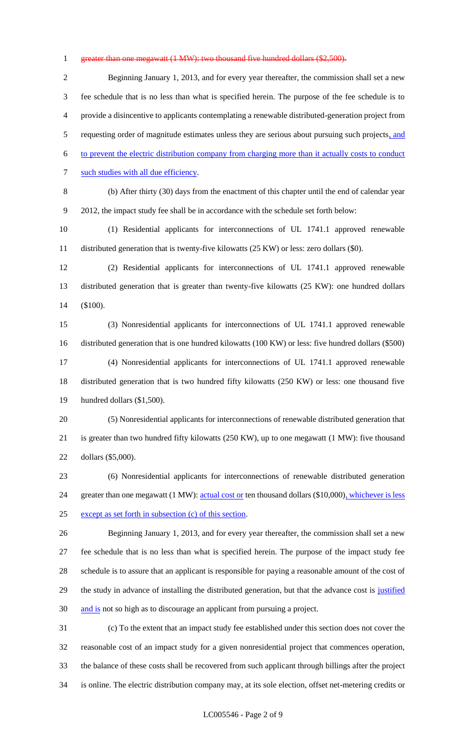#### 1 greater than one megawatt (1 MW): two thousand five hundred dollars (\$2,500).

 Beginning January 1, 2013, and for every year thereafter, the commission shall set a new fee schedule that is no less than what is specified herein. The purpose of the fee schedule is to provide a disincentive to applicants contemplating a renewable distributed-generation project from 5 requesting order of magnitude estimates unless they are serious about pursuing such projects, and to prevent the electric distribution company from charging more than it actually costs to conduct 7 such studies with all due efficiency. (b) After thirty (30) days from the enactment of this chapter until the end of calendar year 2012, the impact study fee shall be in accordance with the schedule set forth below: (1) Residential applicants for interconnections of UL 1741.1 approved renewable distributed generation that is twenty-five kilowatts (25 KW) or less: zero dollars (\$0). (2) Residential applicants for interconnections of UL 1741.1 approved renewable distributed generation that is greater than twenty-five kilowatts (25 KW): one hundred dollars (\$100). (3) Nonresidential applicants for interconnections of UL 1741.1 approved renewable distributed generation that is one hundred kilowatts (100 KW) or less: five hundred dollars (\$500) (4) Nonresidential applicants for interconnections of UL 1741.1 approved renewable distributed generation that is two hundred fifty kilowatts (250 KW) or less: one thousand five hundred dollars (\$1,500). (5) Nonresidential applicants for interconnections of renewable distributed generation that is greater than two hundred fifty kilowatts (250 KW), up to one megawatt (1 MW): five thousand dollars (\$5,000).

 (6) Nonresidential applicants for interconnections of renewable distributed generation 24 greater than one megawatt (1 MW): actual cost or ten thousand dollars (\$10,000), whichever is less except as set forth in subsection (c) of this section.

 Beginning January 1, 2013, and for every year thereafter, the commission shall set a new fee schedule that is no less than what is specified herein. The purpose of the impact study fee schedule is to assure that an applicant is responsible for paying a reasonable amount of the cost of 29 the study in advance of installing the distributed generation, but that the advance cost is justified 30 and is not so high as to discourage an applicant from pursuing a project.

 (c) To the extent that an impact study fee established under this section does not cover the reasonable cost of an impact study for a given nonresidential project that commences operation, the balance of these costs shall be recovered from such applicant through billings after the project is online. The electric distribution company may, at its sole election, offset net-metering credits or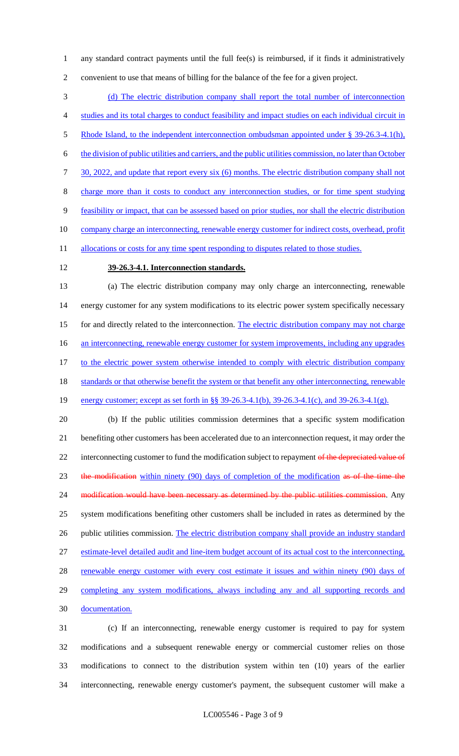1 any standard contract payments until the full fee(s) is reimbursed, if it finds it administratively 2 convenient to use that means of billing for the balance of the fee for a given project.

3 (d) The electric distribution company shall report the total number of interconnection 4 studies and its total charges to conduct feasibility and impact studies on each individual circuit in 5 Rhode Island, to the independent interconnection ombudsman appointed under § 39-26.3-4.1(h), 6 the division of public utilities and carriers, and the public utilities commission, no later than October 7 30, 2022, and update that report every six (6) months. The electric distribution company shall not 8 charge more than it costs to conduct any interconnection studies, or for time spent studying 9 feasibility or impact, that can be assessed based on prior studies, nor shall the electric distribution 10 company charge an interconnecting, renewable energy customer for indirect costs, overhead, profit 11 allocations or costs for any time spent responding to disputes related to those studies.

### 12 **39-26.3-4.1. Interconnection standards.**

13 (a) The electric distribution company may only charge an interconnecting, renewable 14 energy customer for any system modifications to its electric power system specifically necessary 15 for and directly related to the interconnection. The electric distribution company may not charge 16 an interconnecting, renewable energy customer for system improvements, including any upgrades 17 to the electric power system otherwise intended to comply with electric distribution company 18 standards or that otherwise benefit the system or that benefit any other interconnecting, renewable 19 energy customer; except as set forth in §§ 39-26.3-4.1(b), 39-26.3-4.1(c), and 39-26.3-4.1(g). 20 (b) If the public utilities commission determines that a specific system modification

21 benefiting other customers has been accelerated due to an interconnection request, it may order the 22 interconnecting customer to fund the modification subject to repayment of the depreciated value of 23 the modification within ninety (90) days of completion of the modification as of the time the 24 modification would have been necessary as determined by the public utilities commission. Any 25 system modifications benefiting other customers shall be included in rates as determined by the 26 public utilities commission. The electric distribution company shall provide an industry standard 27 estimate-level detailed audit and line-item budget account of its actual cost to the interconnecting, 28 renewable energy customer with every cost estimate it issues and within ninety (90) days of 29 completing any system modifications, always including any and all supporting records and 30 documentation.

 (c) If an interconnecting, renewable energy customer is required to pay for system modifications and a subsequent renewable energy or commercial customer relies on those modifications to connect to the distribution system within ten (10) years of the earlier interconnecting, renewable energy customer's payment, the subsequent customer will make a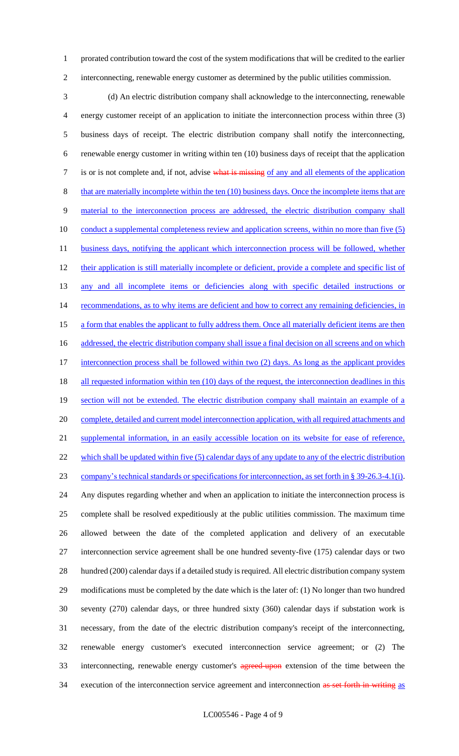1 prorated contribution toward the cost of the system modifications that will be credited to the earlier 2 interconnecting, renewable energy customer as determined by the public utilities commission.

3 (d) An electric distribution company shall acknowledge to the interconnecting, renewable 4 energy customer receipt of an application to initiate the interconnection process within three (3) 5 business days of receipt. The electric distribution company shall notify the interconnecting, 6 renewable energy customer in writing within ten (10) business days of receipt that the application 7 is or is not complete and, if not, advise what is missing of any and all elements of the application 8 that are materially incomplete within the ten (10) business days. Once the incomplete items that are 9 material to the interconnection process are addressed, the electric distribution company shall 10 conduct a supplemental completeness review and application screens, within no more than five (5) 11 business days, notifying the applicant which interconnection process will be followed, whether 12 their application is still materially incomplete or deficient, provide a complete and specific list of 13 any and all incomplete items or deficiencies along with specific detailed instructions or 14 recommendations, as to why items are deficient and how to correct any remaining deficiencies, in 15 a form that enables the applicant to fully address them. Once all materially deficient items are then 16 addressed, the electric distribution company shall issue a final decision on all screens and on which 17 interconnection process shall be followed within two (2) days. As long as the applicant provides 18 all requested information within ten (10) days of the request, the interconnection deadlines in this 19 section will not be extended. The electric distribution company shall maintain an example of a 20 complete, detailed and current model interconnection application, with all required attachments and 21 supplemental information, in an easily accessible location on its website for ease of reference, 22 which shall be updated within five (5) calendar days of any update to any of the electric distribution 23 company's technical standards or specifications for interconnection, as set forth in § 39-26.3-4.1(i). 24 Any disputes regarding whether and when an application to initiate the interconnection process is 25 complete shall be resolved expeditiously at the public utilities commission. The maximum time 26 allowed between the date of the completed application and delivery of an executable 27 interconnection service agreement shall be one hundred seventy-five (175) calendar days or two 28 hundred (200) calendar days if a detailed study is required. All electric distribution company system 29 modifications must be completed by the date which is the later of: (1) No longer than two hundred 30 seventy (270) calendar days, or three hundred sixty (360) calendar days if substation work is 31 necessary, from the date of the electric distribution company's receipt of the interconnecting, 32 renewable energy customer's executed interconnection service agreement; or (2) The 33 interconnecting, renewable energy customer's agreed-upon extension of the time between the 34 execution of the interconnection service agreement and interconnection as set forth in writing as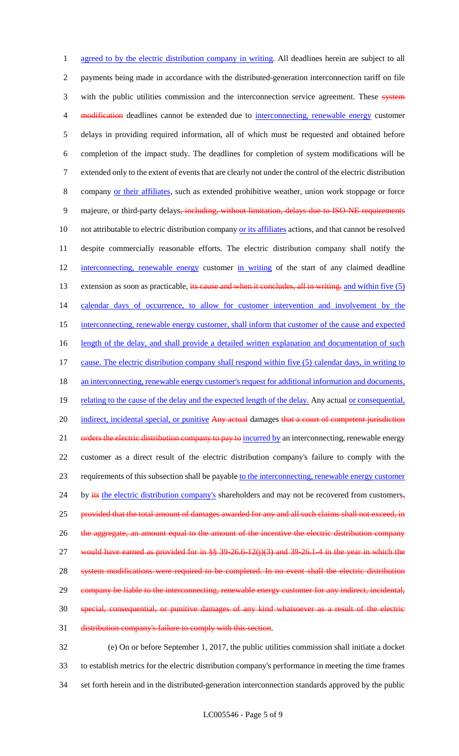1 agreed to by the electric distribution company in writing. All deadlines herein are subject to all 2 payments being made in accordance with the distributed-generation interconnection tariff on file 3 with the public utilities commission and the interconnection service agreement. These system 4 modification deadlines cannot be extended due to interconnecting, renewable energy customer 5 delays in providing required information, all of which must be requested and obtained before 6 completion of the impact study. The deadlines for completion of system modifications will be 7 extended only to the extent of events that are clearly not under the control of the electric distribution 8 company or their affiliates, such as extended prohibitive weather, union work stoppage or force 9 majeure, or third-party delays, including, without limitation, delays due to ISO-NE requirements 10 not attributable to electric distribution company or its affiliates actions, and that cannot be resolved 11 despite commercially reasonable efforts. The electric distribution company shall notify the 12 interconnecting, renewable energy customer in writing of the start of any claimed deadline 13 extension as soon as practicable, its cause and when it concludes, all in writing. and within five (5) 14 calendar days of occurrence, to allow for customer intervention and involvement by the 15 interconnecting, renewable energy customer, shall inform that customer of the cause and expected 16 length of the delay, and shall provide a detailed written explanation and documentation of such 17 cause. The electric distribution company shall respond within five (5) calendar days, in writing to 18 an interconnecting, renewable energy customer's request for additional information and documents, 19 relating to the cause of the delay and the expected length of the delay. Any actual or consequential, 20 indirect, incidental special, or punitive Any actual damages that a court of competent jurisdiction 21 orders the electric distribution company to pay to incurred by an interconnecting, renewable energy 22 customer as a direct result of the electric distribution company's failure to comply with the 23 requirements of this subsection shall be payable to the interconnecting, renewable energy customer 24 by its the electric distribution company's shareholders and may not be recovered from customers, 25 provided that the total amount of damages awarded for any and all such claims shall not exceed, in 26 the aggregate, an amount equal to the amount of the incentive the electric distribution company 27 would have earned as provided for in  $\frac{8}{5}$  39-26.6-12(j)(3) and 39-26.1-4 in the year in which the 28 system modifications were required to be completed. In no event shall the electric distribution 29 company be liable to the interconnecting, renewable energy customer for any indirect, incidental, 30 special, consequential, or punitive damages of any kind whatsoever as a result of the electric 31 distribution company's failure to comply with this section.

32 (e) On or before September 1, 2017, the public utilities commission shall initiate a docket 33 to establish metrics for the electric distribution company's performance in meeting the time frames 34 set forth herein and in the distributed-generation interconnection standards approved by the public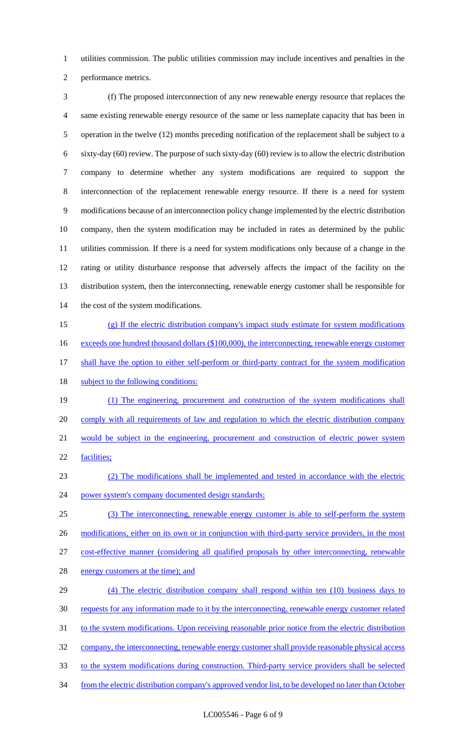utilities commission. The public utilities commission may include incentives and penalties in the performance metrics.

 (f) The proposed interconnection of any new renewable energy resource that replaces the same existing renewable energy resource of the same or less nameplate capacity that has been in operation in the twelve (12) months preceding notification of the replacement shall be subject to a sixty-day (60) review. The purpose of such sixty-day (60) review is to allow the electric distribution company to determine whether any system modifications are required to support the interconnection of the replacement renewable energy resource. If there is a need for system modifications because of an interconnection policy change implemented by the electric distribution company, then the system modification may be included in rates as determined by the public utilities commission. If there is a need for system modifications only because of a change in the rating or utility disturbance response that adversely affects the impact of the facility on the distribution system, then the interconnecting, renewable energy customer shall be responsible for 14 the cost of the system modifications.

- (g) If the electric distribution company's impact study estimate for system modifications 16 exceeds one hundred thousand dollars (\$100,000), the interconnecting, renewable energy customer 17 shall have the option to either self-perform or third-party contract for the system modification 18 subject to the following conditions:
- (1) The engineering, procurement and construction of the system modifications shall comply with all requirements of law and regulation to which the electric distribution company would be subject in the engineering, procurement and construction of electric power system facilities;
- (2) The modifications shall be implemented and tested in accordance with the electric power system's company documented design standards;
- (3) The interconnecting, renewable energy customer is able to self-perform the system 26 modifications, either on its own or in conjunction with third-party service providers, in the most cost-effective manner (considering all qualified proposals by other interconnecting, renewable
- 28 energy customers at the time); and
- (4) The electric distribution company shall respond within ten (10) business days to requests for any information made to it by the interconnecting, renewable energy customer related 31 to the system modifications. Upon receiving reasonable prior notice from the electric distribution company, the interconnecting, renewable energy customer shall provide reasonable physical access to the system modifications during construction. Third-party service providers shall be selected from the electric distribution company's approved vendor list, to be developed no later than October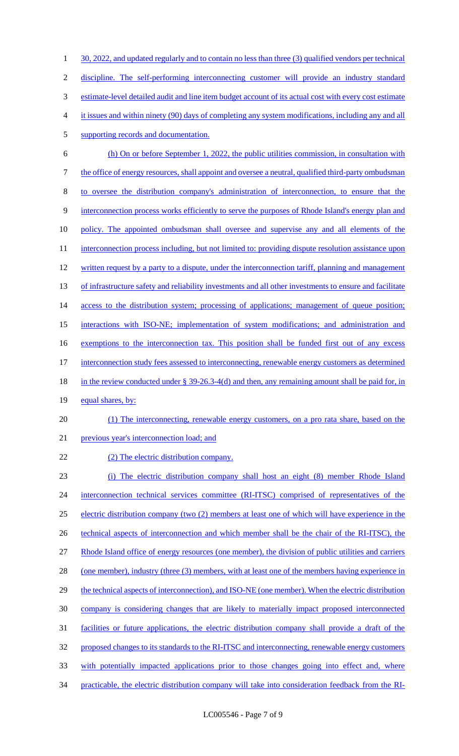1 30, 2022, and updated regularly and to contain no less than three (3) qualified vendors per technical 2 discipline. The self-performing interconnecting customer will provide an industry standard 3 estimate-level detailed audit and line item budget account of its actual cost with every cost estimate 4 it issues and within ninety (90) days of completing any system modifications, including any and all 5 supporting records and documentation. 6 (h) On or before September 1, 2022, the public utilities commission, in consultation with 7 the office of energy resources, shall appoint and oversee a neutral, qualified third-party ombudsman 8 to oversee the distribution company's administration of interconnection, to ensure that the 9 interconnection process works efficiently to serve the purposes of Rhode Island's energy plan and 10 policy. The appointed ombudsman shall oversee and supervise any and all elements of the 11 interconnection process including, but not limited to: providing dispute resolution assistance upon 12 written request by a party to a dispute, under the interconnection tariff, planning and management 13 of infrastructure safety and reliability investments and all other investments to ensure and facilitate 14 access to the distribution system; processing of applications; management of queue position; 15 interactions with ISO-NE; implementation of system modifications; and administration and 16 exemptions to the interconnection tax. This position shall be funded first out of any excess 17 interconnection study fees assessed to interconnecting, renewable energy customers as determined 18 in the review conducted under § 39-26.3-4(d) and then, any remaining amount shall be paid for, in 19 equal shares, by: 20 (1) The interconnecting, renewable energy customers, on a pro rata share, based on the 21 previous year's interconnection load; and 22 (2) The electric distribution company. 23 (i) The electric distribution company shall host an eight (8) member Rhode Island 24 interconnection technical services committee (RI-ITSC) comprised of representatives of the 25 electric distribution company (two (2) members at least one of which will have experience in the 26 technical aspects of interconnection and which member shall be the chair of the RI-ITSC), the 27 Rhode Island office of energy resources (one member), the division of public utilities and carriers 28 (one member), industry (three (3) members, with at least one of the members having experience in 29 the technical aspects of interconnection), and ISO-NE (one member). When the electric distribution 30 company is considering changes that are likely to materially impact proposed interconnected

- 31 facilities or future applications, the electric distribution company shall provide a draft of the
- 32 proposed changes to its standards to the RI-ITSC and interconnecting, renewable energy customers
- 33 with potentially impacted applications prior to those changes going into effect and, where
- 34 practicable, the electric distribution company will take into consideration feedback from the RI-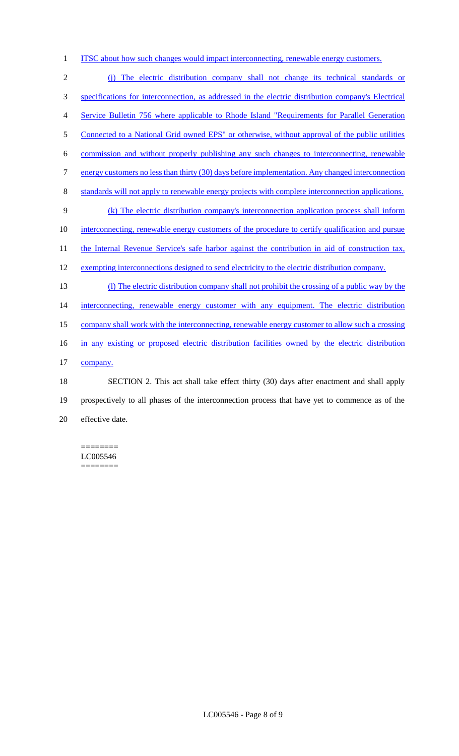1 ITSC about how such changes would impact interconnecting, renewable energy customers.

 (j) The electric distribution company shall not change its technical standards or specifications for interconnection, as addressed in the electric distribution company's Electrical Service Bulletin 756 where applicable to Rhode Island "Requirements for Parallel Generation 5 Connected to a National Grid owned EPS" or otherwise, without approval of the public utilities commission and without properly publishing any such changes to interconnecting, renewable 7 energy customers no less than thirty (30) days before implementation. Any changed interconnection standards will not apply to renewable energy projects with complete interconnection applications. (k) The electric distribution company's interconnection application process shall inform 10 interconnecting, renewable energy customers of the procedure to certify qualification and pursue 11 the Internal Revenue Service's safe harbor against the contribution in aid of construction tax, 12 exempting interconnections designed to send electricity to the electric distribution company. (l) The electric distribution company shall not prohibit the crossing of a public way by the 14 interconnecting, renewable energy customer with any equipment. The electric distribution company shall work with the interconnecting, renewable energy customer to allow such a crossing in any existing or proposed electric distribution facilities owned by the electric distribution 17 company. SECTION 2. This act shall take effect thirty (30) days after enactment and shall apply prospectively to all phases of the interconnection process that have yet to commence as of the effective date.

======== LC005546 ========